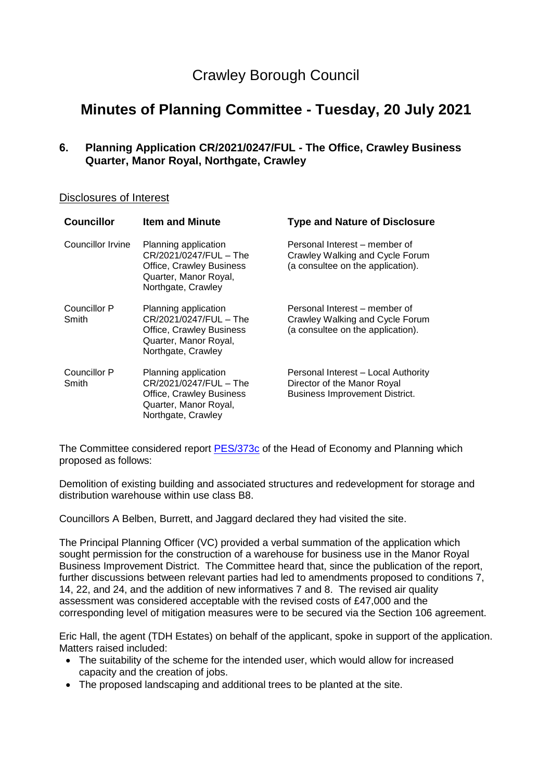## Crawley Borough Council

# **Minutes of Planning Committee - Tuesday, 20 July 2021**

**6. Planning Application CR/2021/0247/FUL - The Office, Crawley Business Quarter, Manor Royal, Northgate, Crawley**

## Disclosures of Interest

| <b>Councillor</b>     | <b>Item and Minute</b>                                                                                                           | <b>Type and Nature of Disclosure</b>                                                                        |
|-----------------------|----------------------------------------------------------------------------------------------------------------------------------|-------------------------------------------------------------------------------------------------------------|
| Councillor Irvine     | Planning application<br>CR/2021/0247/FUL - The<br>Office, Crawley Business<br>Quarter, Manor Royal,<br>Northgate, Crawley        | Personal Interest – member of<br>Crawley Walking and Cycle Forum<br>(a consultee on the application).       |
| Councillor P<br>Smith | Planning application<br>CR/2021/0247/FUL - The<br>Office, Crawley Business<br>Quarter, Manor Royal,<br>Northgate, Crawley        | Personal Interest – member of<br>Crawley Walking and Cycle Forum<br>(a consultee on the application).       |
| Councillor P<br>Smith | Planning application<br>CR/2021/0247/FUL - The<br><b>Office, Crawley Business</b><br>Quarter, Manor Royal,<br>Northgate, Crawley | Personal Interest - Local Authority<br>Director of the Manor Royal<br><b>Business Improvement District.</b> |

The Committee considered report [PES/373c](https://democracy.crawley.gov.uk/documents/s18620/PES373c%20-%20The%20Office%20Crawley%20Business%20Quarter%20Manor%20Royal%20Northgate%20Crawley%20-%20CR20210247FUL.pdf) of the Head of Economy and Planning which proposed as follows:

Demolition of existing building and associated structures and redevelopment for storage and distribution warehouse within use class B8.

Councillors A Belben, Burrett, and Jaggard declared they had visited the site.

The Principal Planning Officer (VC) provided a verbal summation of the application which sought permission for the construction of a warehouse for business use in the Manor Royal Business Improvement District. The Committee heard that, since the publication of the report, further discussions between relevant parties had led to amendments proposed to conditions 7, 14, 22, and 24, and the addition of new informatives 7 and 8. The revised air quality assessment was considered acceptable with the revised costs of £47,000 and the corresponding level of mitigation measures were to be secured via the Section 106 agreement.

Eric Hall, the agent (TDH Estates) on behalf of the applicant, spoke in support of the application. Matters raised included:

- The suitability of the scheme for the intended user, which would allow for increased capacity and the creation of jobs.
- The proposed landscaping and additional trees to be planted at the site.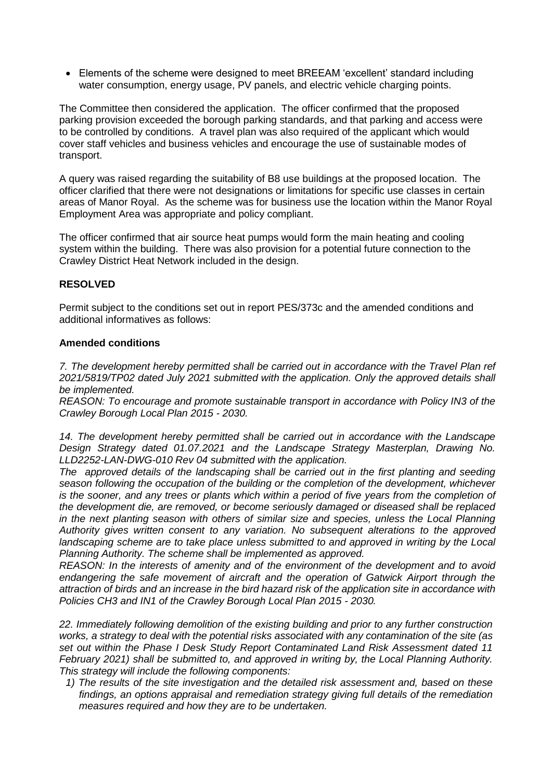Elements of the scheme were designed to meet BREEAM 'excellent' standard including water consumption, energy usage, PV panels, and electric vehicle charging points.

The Committee then considered the application. The officer confirmed that the proposed parking provision exceeded the borough parking standards, and that parking and access were to be controlled by conditions. A travel plan was also required of the applicant which would cover staff vehicles and business vehicles and encourage the use of sustainable modes of transport.

A query was raised regarding the suitability of B8 use buildings at the proposed location. The officer clarified that there were not designations or limitations for specific use classes in certain areas of Manor Royal. As the scheme was for business use the location within the Manor Royal Employment Area was appropriate and policy compliant.

The officer confirmed that air source heat pumps would form the main heating and cooling system within the building. There was also provision for a potential future connection to the Crawley District Heat Network included in the design.

## **RESOLVED**

Permit subject to the conditions set out in report PES/373c and the amended conditions and additional informatives as follows:

## **Amended conditions**

*7. The development hereby permitted shall be carried out in accordance with the Travel Plan ref 2021/5819/TP02 dated July 2021 submitted with the application. Only the approved details shall be implemented.*

*REASON: To encourage and promote sustainable transport in accordance with Policy IN3 of the Crawley Borough Local Plan 2015 - 2030.*

*14. The development hereby permitted shall be carried out in accordance with the Landscape Design Strategy dated 01.07.2021 and the Landscape Strategy Masterplan, Drawing No. LLD2252-LAN-DWG-010 Rev 04 submitted with the application.*

*The approved details of the landscaping shall be carried out in the first planting and seeding season following the occupation of the building or the completion of the development, whichever*  is the sooner, and any trees or plants which within a period of five years from the completion of *the development die, are removed, or become seriously damaged or diseased shall be replaced*  in the next planting season with others of similar size and species, unless the Local Planning *Authority gives written consent to any variation. No subsequent alterations to the approved*  landscaping scheme are to take place unless submitted to and approved in writing by the Local *Planning Authority. The scheme shall be implemented as approved.*

*REASON: In the interests of amenity and of the environment of the development and to avoid endangering the safe movement of aircraft and the operation of Gatwick Airport through the attraction of birds and an increase in the bird hazard risk of the application site in accordance with Policies CH3 and IN1 of the Crawley Borough Local Plan 2015 - 2030.*

*22. Immediately following demolition of the existing building and prior to any further construction works, a strategy to deal with the potential risks associated with any contamination of the site (as set out within the Phase I Desk Study Report Contaminated Land Risk Assessment dated 11 February 2021) shall be submitted to, and approved in writing by, the Local Planning Authority. This strategy will include the following components:*

*1) The results of the site investigation and the detailed risk assessment and, based on these findings, an options appraisal and remediation strategy giving full details of the remediation measures required and how they are to be undertaken.*